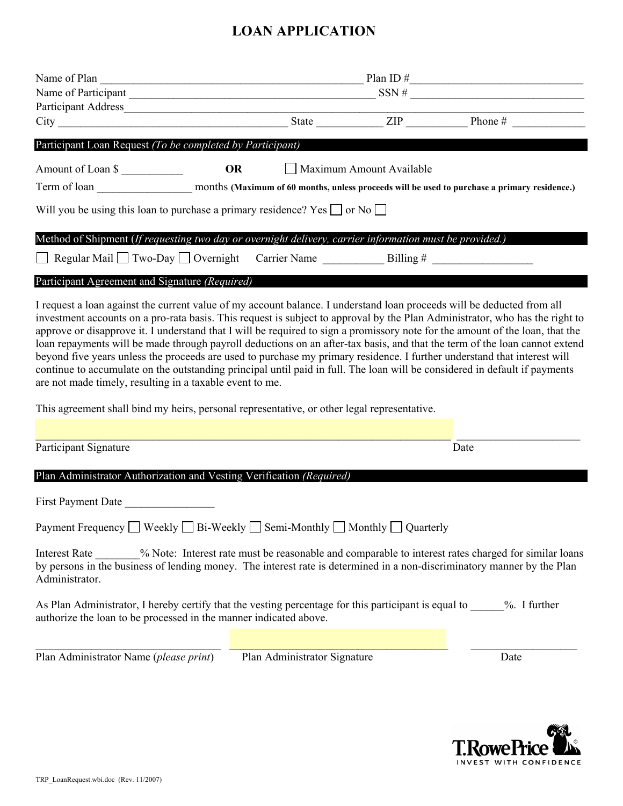## **LOAN APPLICATION**

|                                                                                                                                                                                                                                                                                                                                                                                                                                                                                                                                                                                                                                                                                                                                                                                                                                             | Name of Plan $\frac{1}{2}$ Plan ID $\frac{1}{2}$ Plan ID $\frac{1}{2}$<br>Name of Participant $\frac{1}{\sqrt{1-\frac{1}{2}}\sqrt{1-\frac{1}{2}}\sqrt{1-\frac{1}{2}}\sqrt{1-\frac{1}{2}}\sqrt{1-\frac{1}{2}}\sqrt{1-\frac{1}{2}}\sqrt{1-\frac{1}{2}}\sqrt{1-\frac{1}{2}}\sqrt{1-\frac{1}{2}}\sqrt{1-\frac{1}{2}}\sqrt{1-\frac{1}{2}}\sqrt{1-\frac{1}{2}}\sqrt{1-\frac{1}{2}}\sqrt{1-\frac{1}{2}}\sqrt{1-\frac{1}{2}}\sqrt{1-\frac{1}{2}}\sqrt{1-\frac{1}{2}}\sqrt{1-\frac{1$ |                          |  |      |  |  |
|---------------------------------------------------------------------------------------------------------------------------------------------------------------------------------------------------------------------------------------------------------------------------------------------------------------------------------------------------------------------------------------------------------------------------------------------------------------------------------------------------------------------------------------------------------------------------------------------------------------------------------------------------------------------------------------------------------------------------------------------------------------------------------------------------------------------------------------------|------------------------------------------------------------------------------------------------------------------------------------------------------------------------------------------------------------------------------------------------------------------------------------------------------------------------------------------------------------------------------------------------------------------------------------------------------------------------------|--------------------------|--|------|--|--|
|                                                                                                                                                                                                                                                                                                                                                                                                                                                                                                                                                                                                                                                                                                                                                                                                                                             |                                                                                                                                                                                                                                                                                                                                                                                                                                                                              |                          |  |      |  |  |
| Participant Loan Request (To be completed by Participant)                                                                                                                                                                                                                                                                                                                                                                                                                                                                                                                                                                                                                                                                                                                                                                                   |                                                                                                                                                                                                                                                                                                                                                                                                                                                                              |                          |  |      |  |  |
| Amount of Loan \$                                                                                                                                                                                                                                                                                                                                                                                                                                                                                                                                                                                                                                                                                                                                                                                                                           |                                                                                                                                                                                                                                                                                                                                                                                                                                                                              | Maximum Amount Available |  |      |  |  |
| Will you be using this loan to purchase a primary residence? Yes $\Box$ or No $\Box$                                                                                                                                                                                                                                                                                                                                                                                                                                                                                                                                                                                                                                                                                                                                                        |                                                                                                                                                                                                                                                                                                                                                                                                                                                                              |                          |  |      |  |  |
| Method of Shipment (If requesting two day or overnight delivery, carrier information must be provided.)                                                                                                                                                                                                                                                                                                                                                                                                                                                                                                                                                                                                                                                                                                                                     |                                                                                                                                                                                                                                                                                                                                                                                                                                                                              |                          |  |      |  |  |
|                                                                                                                                                                                                                                                                                                                                                                                                                                                                                                                                                                                                                                                                                                                                                                                                                                             |                                                                                                                                                                                                                                                                                                                                                                                                                                                                              |                          |  |      |  |  |
| Participant Agreement and Signature (Required)                                                                                                                                                                                                                                                                                                                                                                                                                                                                                                                                                                                                                                                                                                                                                                                              |                                                                                                                                                                                                                                                                                                                                                                                                                                                                              |                          |  |      |  |  |
| I request a loan against the current value of my account balance. I understand loan proceeds will be deducted from all<br>investment accounts on a pro-rata basis. This request is subject to approval by the Plan Administrator, who has the right to<br>approve or disapprove it. I understand that I will be required to sign a promissory note for the amount of the loan, that the<br>loan repayments will be made through payroll deductions on an after-tax basis, and that the term of the loan cannot extend<br>beyond five years unless the proceeds are used to purchase my primary residence. I further understand that interest will<br>continue to accumulate on the outstanding principal until paid in full. The loan will be considered in default if payments<br>are not made timely, resulting in a taxable event to me. |                                                                                                                                                                                                                                                                                                                                                                                                                                                                              |                          |  |      |  |  |
| This agreement shall bind my heirs, personal representative, or other legal representative.                                                                                                                                                                                                                                                                                                                                                                                                                                                                                                                                                                                                                                                                                                                                                 |                                                                                                                                                                                                                                                                                                                                                                                                                                                                              |                          |  |      |  |  |
|                                                                                                                                                                                                                                                                                                                                                                                                                                                                                                                                                                                                                                                                                                                                                                                                                                             |                                                                                                                                                                                                                                                                                                                                                                                                                                                                              |                          |  |      |  |  |
| Participant Signature                                                                                                                                                                                                                                                                                                                                                                                                                                                                                                                                                                                                                                                                                                                                                                                                                       |                                                                                                                                                                                                                                                                                                                                                                                                                                                                              |                          |  | Date |  |  |
| Plan Administrator Authorization and Vesting Verification (Required)                                                                                                                                                                                                                                                                                                                                                                                                                                                                                                                                                                                                                                                                                                                                                                        |                                                                                                                                                                                                                                                                                                                                                                                                                                                                              |                          |  |      |  |  |
| First Payment Date                                                                                                                                                                                                                                                                                                                                                                                                                                                                                                                                                                                                                                                                                                                                                                                                                          |                                                                                                                                                                                                                                                                                                                                                                                                                                                                              |                          |  |      |  |  |
| Payment Frequency □ Weekly □ Bi-Weekly □ Semi-Monthly □ Monthly □ Quarterly                                                                                                                                                                                                                                                                                                                                                                                                                                                                                                                                                                                                                                                                                                                                                                 |                                                                                                                                                                                                                                                                                                                                                                                                                                                                              |                          |  |      |  |  |
| Interest Rate _______% Note: Interest rate must be reasonable and comparable to interest rates charged for similar loans<br>by persons in the business of lending money. The interest rate is determined in a non-discriminatory manner by the Plan                                                                                                                                                                                                                                                                                                                                                                                                                                                                                                                                                                                         |                                                                                                                                                                                                                                                                                                                                                                                                                                                                              |                          |  |      |  |  |

As Plan Administrator, I hereby certify that the vesting percentage for this participant is equal to \_\_\_\_\_%. I further authorize the loan to be processed in the manner indicated above.

Plan Administrator Name (*please print*) Plan Administrator Signature Date

 $\mathcal{L}_\mathcal{L} = \mathcal{L}_\mathcal{L} = \mathcal{L}_\mathcal{L} = \mathcal{L}_\mathcal{L} = \mathcal{L}_\mathcal{L} = \mathcal{L}_\mathcal{L} = \mathcal{L}_\mathcal{L} = \mathcal{L}_\mathcal{L} = \mathcal{L}_\mathcal{L} = \mathcal{L}_\mathcal{L} = \mathcal{L}_\mathcal{L} = \mathcal{L}_\mathcal{L} = \mathcal{L}_\mathcal{L} = \mathcal{L}_\mathcal{L} = \mathcal{L}_\mathcal{L} = \mathcal{L}_\mathcal{L} = \mathcal{L}_\mathcal{L}$ 



Administrator.